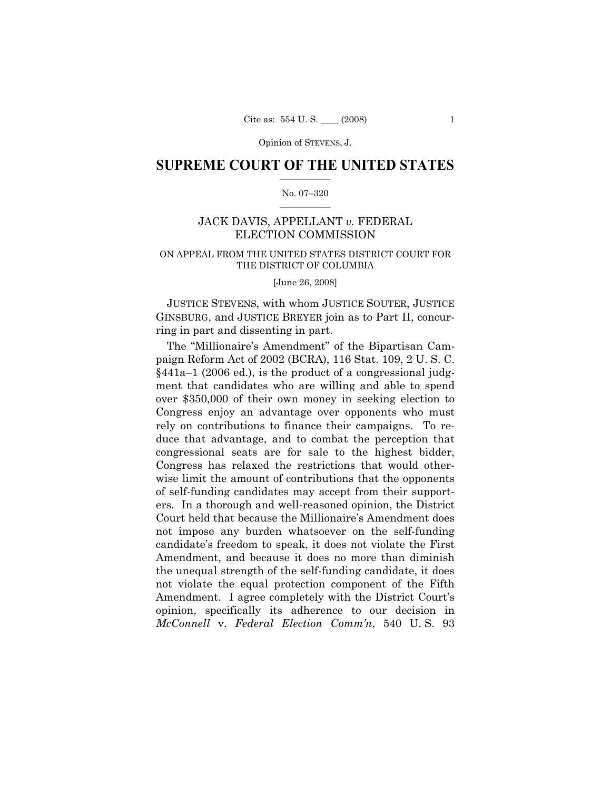### **SUPREME COURT OF THE UNITED STATES**  $\frac{1}{2}$  , where  $\frac{1}{2}$

#### No. 07–320  $\frac{1}{2}$  ,  $\frac{1}{2}$  ,  $\frac{1}{2}$  ,  $\frac{1}{2}$  ,  $\frac{1}{2}$  ,  $\frac{1}{2}$

# JACK DAVIS, APPELLANT *v.* FEDERAL ELECTION COMMISSION

# ON APPEAL FROM THE UNITED STATES DISTRICT COURT FOR THE DISTRICT OF COLUMBIA

[June 26, 2008]

 JUSTICE STEVENS, with whom JUSTICE SOUTER, JUSTICE GINSBURG, and JUSTICE BREYER join as to Part II, concurring in part and dissenting in part.

 The "Millionaire's Amendment" of the Bipartisan Campaign Reform Act of 2002 (BCRA), 116 Stat. 109, 2 U. S. C. §441a–1 (2006 ed.), is the product of a congressional judgment that candidates who are willing and able to spend over \$350,000 of their own money in seeking election to Congress enjoy an advantage over opponents who must rely on contributions to finance their campaigns. To reduce that advantage, and to combat the perception that congressional seats are for sale to the highest bidder, Congress has relaxed the restrictions that would otherwise limit the amount of contributions that the opponents of self-funding candidates may accept from their supporters. In a thorough and well-reasoned opinion, the District Court held that because the Millionaire's Amendment does not impose any burden whatsoever on the self-funding candidate's freedom to speak, it does not violate the First Amendment, and because it does no more than diminish the unequal strength of the self-funding candidate, it does not violate the equal protection component of the Fifth Amendment. I agree completely with the District Court's opinion, specifically its adherence to our decision in *McConnell* v. *Federal Election Comm'n*, 540 U. S. 93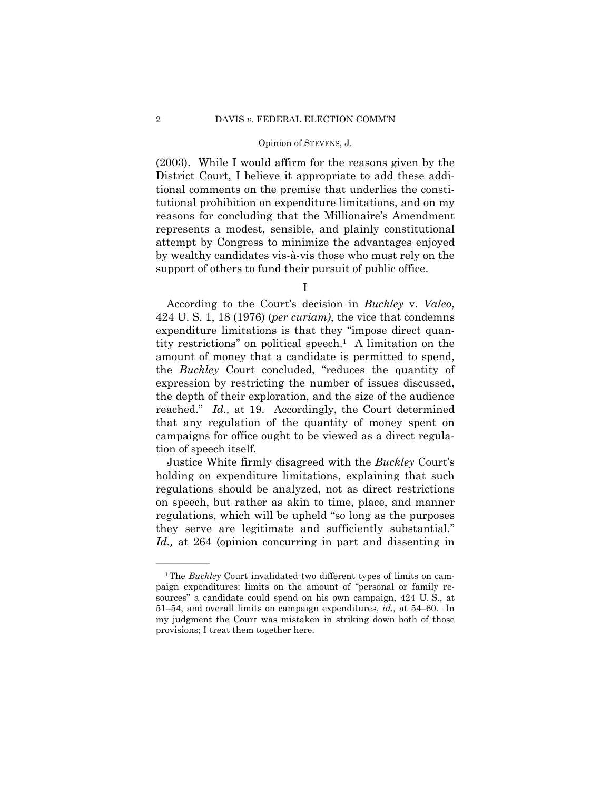(2003). While I would affirm for the reasons given by the District Court, I believe it appropriate to add these additional comments on the premise that underlies the constitutional prohibition on expenditure limitations, and on my reasons for concluding that the Millionaire's Amendment represents a modest, sensible, and plainly constitutional attempt by Congress to minimize the advantages enjoyed by wealthy candidates vis-à-vis those who must rely on the support of others to fund their pursuit of public office.

I

 According to the Court's decision in *Buckley* v. *Valeo*, 424 U. S. 1, 18 (1976) (*per curiam)*, the vice that condemns expenditure limitations is that they "impose direct quantity restrictions" on political speech.<sup>1</sup> A limitation on the amount of money that a candidate is permitted to spend, the *Buckley* Court concluded, "reduces the quantity of expression by restricting the number of issues discussed, the depth of their exploration, and the size of the audience reached." *Id.,* at 19. Accordingly, the Court determined that any regulation of the quantity of money spent on campaigns for office ought to be viewed as a direct regulation of speech itself.

 Justice White firmly disagreed with the *Buckley* Court's holding on expenditure limitations, explaining that such regulations should be analyzed, not as direct restrictions on speech, but rather as akin to time, place, and manner regulations, which will be upheld "so long as the purposes they serve are legitimate and sufficiently substantial." *Id.,* at 264 (opinion concurring in part and dissenting in

<sup>&</sup>lt;sup>1</sup>The *Buckley* Court invalidated two different types of limits on campaign expenditures: limits on the amount of "personal or family resources" a candidate could spend on his own campaign, 424 U. S., at 51–54, and overall limits on campaign expenditures, *id.,* at 54–60. In my judgment the Court was mistaken in striking down both of those provisions; I treat them together here.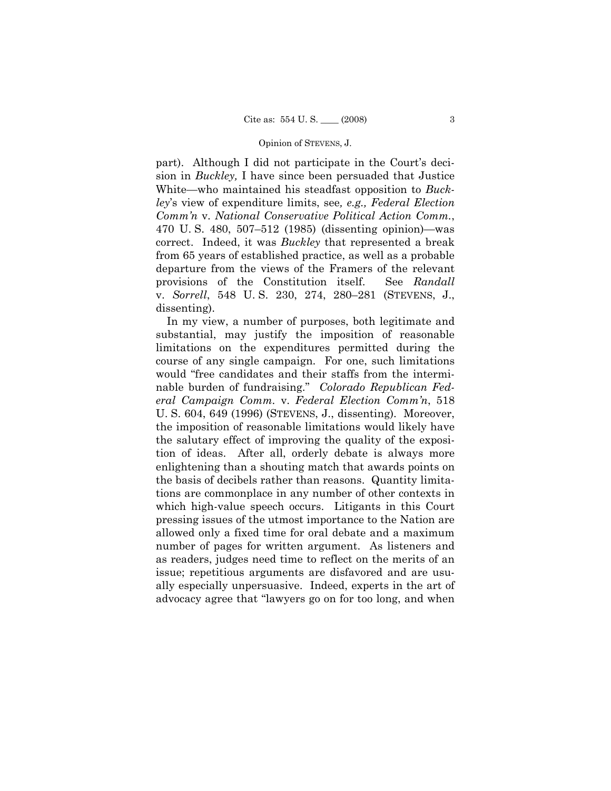part). Although I did not participate in the Court's decision in *Buckley,* I have since been persuaded that Justice White—who maintained his steadfast opposition to *Buckley*'s view of expenditure limits, see*, e.g., Federal Election Comm'n* v. *National Conservative Political Action Comm.*, 470 U. S. 480, 507–512 (1985) (dissenting opinion)—was correct. Indeed, it was *Buckley* that represented a break from 65 years of established practice, as well as a probable departure from the views of the Framers of the relevant provisions of the Constitution itself. See *Randall* v. *Sorrell*, 548 U. S. 230, 274, 280–281 (STEVENS, J., dissenting).

 In my view, a number of purposes, both legitimate and substantial, may justify the imposition of reasonable limitations on the expenditures permitted during the course of any single campaign. For one, such limitations would "free candidates and their staffs from the interminable burden of fundraising." *Colorado Republican Federal Campaign Comm.* v. *Federal Election Comm'n*, 518 U. S. 604, 649 (1996) (STEVENS, J., dissenting). Moreover, the imposition of reasonable limitations would likely have the salutary effect of improving the quality of the exposition of ideas. After all, orderly debate is always more enlightening than a shouting match that awards points on the basis of decibels rather than reasons. Quantity limitations are commonplace in any number of other contexts in which high-value speech occurs. Litigants in this Court pressing issues of the utmost importance to the Nation are allowed only a fixed time for oral debate and a maximum number of pages for written argument. As listeners and as readers, judges need time to reflect on the merits of an issue; repetitious arguments are disfavored and are usually especially unpersuasive. Indeed, experts in the art of advocacy agree that "lawyers go on for too long, and when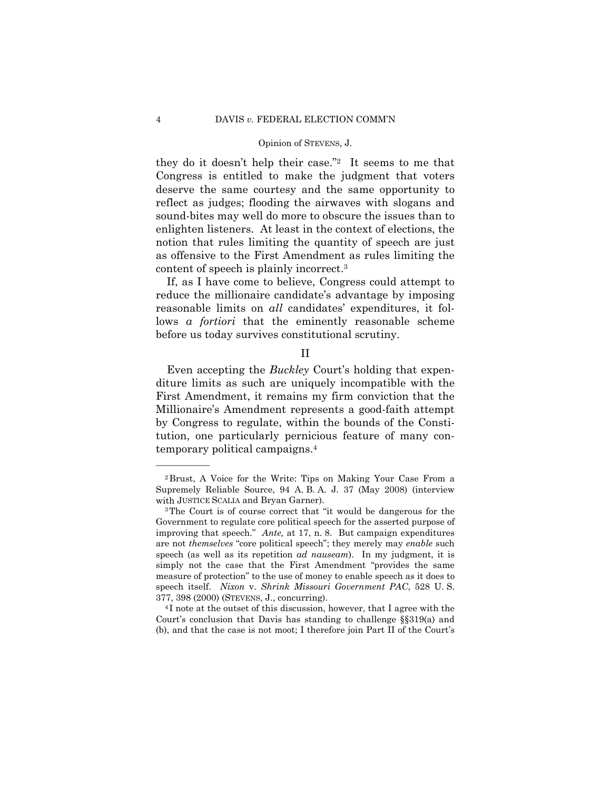they do it doesn't help their case."2 It seems to me that Congress is entitled to make the judgment that voters deserve the same courtesy and the same opportunity to reflect as judges; flooding the airwaves with slogans and sound-bites may well do more to obscure the issues than to enlighten listeners. At least in the context of elections, the notion that rules limiting the quantity of speech are just as offensive to the First Amendment as rules limiting the content of speech is plainly incorrect.3

 If, as I have come to believe, Congress could attempt to reduce the millionaire candidate's advantage by imposing reasonable limits on *all* candidates' expenditures, it follows *a fortiori* that the eminently reasonable scheme before us today survives constitutional scrutiny.

### II

 Even accepting the *Buckley* Court's holding that expenditure limits as such are uniquely incompatible with the First Amendment, it remains my firm conviction that the Millionaire's Amendment represents a good-faith attempt by Congress to regulate, within the bounds of the Constitution, one particularly pernicious feature of many contemporary political campaigns.4

<sup>2</sup>Brust, A Voice for the Write: Tips on Making Your Case From a Supremely Reliable Source, 94 A. B. A. J. 37 (May 2008) (interview with JUSTICE SCALIA and Bryan Garner).<br><sup>3</sup>The Court is of course correct that "it would be dangerous for the

Government to regulate core political speech for the asserted purpose of improving that speech." *Ante,* at 17, n. 8. But campaign expenditures are not *themselves* "core political speech"; they merely may *enable* such speech (as well as its repetition *ad nauseam*). In my judgment, it is simply not the case that the First Amendment "provides the same measure of protection" to the use of money to enable speech as it does to speech itself. *Nixon* v. *Shrink Missouri Government PAC*, 528 U. S. 377, 398 (2000) (STEVENS, J., concurring). 4 I note at the outset of this discussion, however, that I agree with the

Court's conclusion that Davis has standing to challenge §§319(a) and (b), and that the case is not moot; I therefore join Part II of the Court's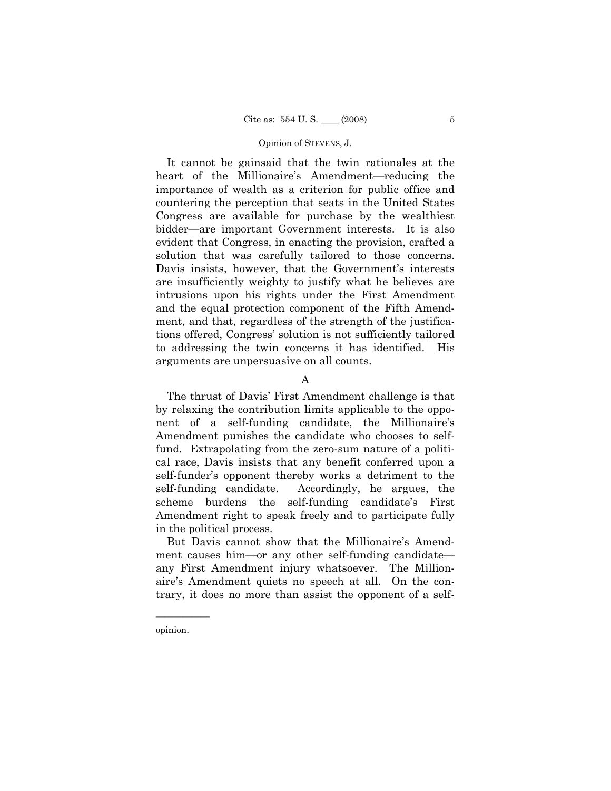It cannot be gainsaid that the twin rationales at the heart of the Millionaire's Amendment—reducing the importance of wealth as a criterion for public office and countering the perception that seats in the United States Congress are available for purchase by the wealthiest bidder—are important Government interests. It is also evident that Congress, in enacting the provision, crafted a solution that was carefully tailored to those concerns. Davis insists, however, that the Government's interests are insufficiently weighty to justify what he believes are intrusions upon his rights under the First Amendment and the equal protection component of the Fifth Amendment, and that, regardless of the strength of the justifications offered, Congress' solution is not sufficiently tailored to addressing the twin concerns it has identified. His arguments are unpersuasive on all counts.

A

 The thrust of Davis' First Amendment challenge is that by relaxing the contribution limits applicable to the opponent of a self-funding candidate, the Millionaire's Amendment punishes the candidate who chooses to selffund. Extrapolating from the zero-sum nature of a political race, Davis insists that any benefit conferred upon a self-funder's opponent thereby works a detriment to the self-funding candidate. Accordingly, he argues, the scheme burdens the self-funding candidate's First Amendment right to speak freely and to participate fully in the political process.

 But Davis cannot show that the Millionaire's Amendment causes him—or any other self-funding candidate any First Amendment injury whatsoever. The Millionaire's Amendment quiets no speech at all. On the contrary, it does no more than assist the opponent of a self-

opinion.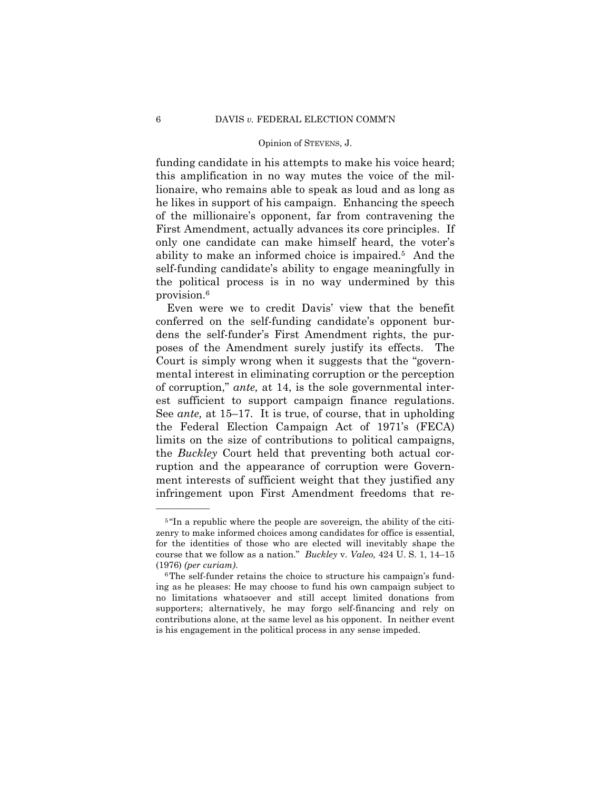funding candidate in his attempts to make his voice heard; this amplification in no way mutes the voice of the millionaire, who remains able to speak as loud and as long as he likes in support of his campaign. Enhancing the speech of the millionaire's opponent, far from contravening the First Amendment, actually advances its core principles. If only one candidate can make himself heard, the voter's ability to make an informed choice is impaired.5 And the self-funding candidate's ability to engage meaningfully in the political process is in no way undermined by this provision.6

 Even were we to credit Davis' view that the benefit conferred on the self-funding candidate's opponent burdens the self-funder's First Amendment rights, the purposes of the Amendment surely justify its effects. The Court is simply wrong when it suggests that the "governmental interest in eliminating corruption or the perception of corruption," *ante,* at 14, is the sole governmental interest sufficient to support campaign finance regulations. See *ante,* at 15–17. It is true, of course, that in upholding the Federal Election Campaign Act of 1971's (FECA) limits on the size of contributions to political campaigns, the *Buckley* Court held that preventing both actual corruption and the appearance of corruption were Government interests of sufficient weight that they justified any infringement upon First Amendment freedoms that re-

<sup>&</sup>lt;sup>5</sup><sup>"In a republic where the people are sovereign, the ability of the citi-</sup> zenry to make informed choices among candidates for office is essential, for the identities of those who are elected will inevitably shape the course that we follow as a nation." *Buckley* v. *Valeo,* 424 U. S. 1, 14–15 (1976) *(per curiam)*.  $6$ <sup>6</sup>The self-funder retains the choice to structure his campaign's fund-

ing as he pleases: He may choose to fund his own campaign subject to no limitations whatsoever and still accept limited donations from supporters; alternatively, he may forgo self-financing and rely on contributions alone, at the same level as his opponent. In neither event is his engagement in the political process in any sense impeded.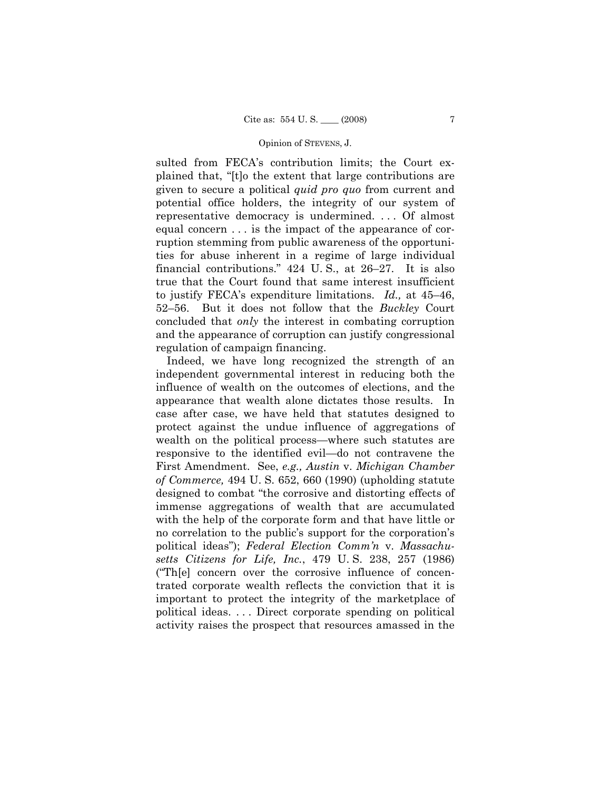sulted from FECA's contribution limits; the Court explained that, "[t]o the extent that large contributions are given to secure a political *quid pro quo* from current and potential office holders, the integrity of our system of representative democracy is undermined. . . . Of almost equal concern . . . is the impact of the appearance of corruption stemming from public awareness of the opportunities for abuse inherent in a regime of large individual financial contributions." 424 U. S., at 26–27. It is also true that the Court found that same interest insufficient to justify FECA's expenditure limitations. *Id.,* at 45–46, 52–56. But it does not follow that the *Buckley* Court concluded that *only* the interest in combating corruption and the appearance of corruption can justify congressional regulation of campaign financing.

 Indeed, we have long recognized the strength of an independent governmental interest in reducing both the influence of wealth on the outcomes of elections, and the appearance that wealth alone dictates those results. In case after case, we have held that statutes designed to protect against the undue influence of aggregations of wealth on the political process—where such statutes are responsive to the identified evil—do not contravene the First Amendment. See, *e.g., Austin* v. *Michigan Chamber of Commerce,* 494 U. S. 652, 660 (1990) (upholding statute designed to combat "the corrosive and distorting effects of immense aggregations of wealth that are accumulated with the help of the corporate form and that have little or no correlation to the public's support for the corporation's political ideas"); *Federal Election Comm'n* v. *Massachusetts Citizens for Life, Inc.*, 479 U. S. 238, 257 (1986) ("Th[e] concern over the corrosive influence of concentrated corporate wealth reflects the conviction that it is important to protect the integrity of the marketplace of political ideas. . . . Direct corporate spending on political activity raises the prospect that resources amassed in the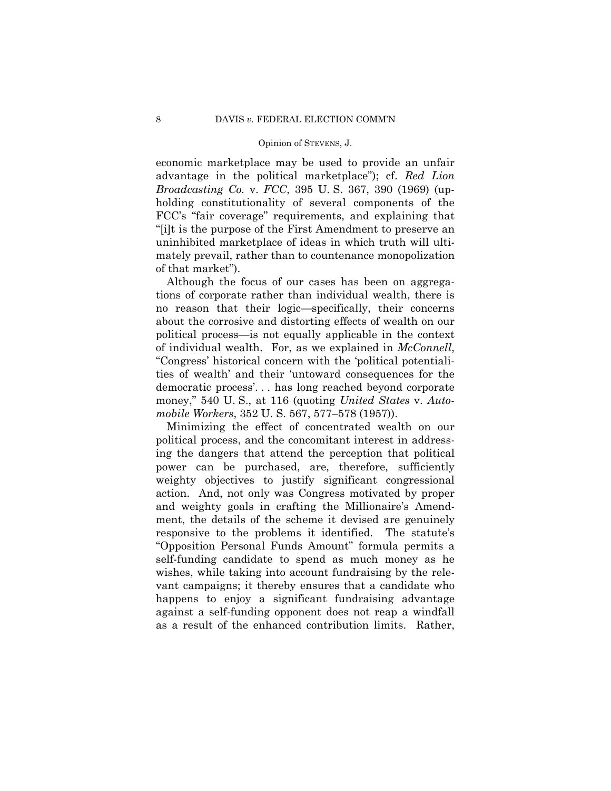economic marketplace may be used to provide an unfair advantage in the political marketplace"); cf. *Red Lion Broadcasting Co.* v. *FCC*, 395 U. S. 367, 390 (1969) (upholding constitutionality of several components of the FCC's "fair coverage" requirements, and explaining that "[i]t is the purpose of the First Amendment to preserve an uninhibited marketplace of ideas in which truth will ultimately prevail, rather than to countenance monopolization of that market").

 Although the focus of our cases has been on aggregations of corporate rather than individual wealth, there is no reason that their logic—specifically, their concerns about the corrosive and distorting effects of wealth on our political process—is not equally applicable in the context of individual wealth. For, as we explained in *McConnell*, "Congress' historical concern with the 'political potentialities of wealth' and their 'untoward consequences for the democratic process'. . . has long reached beyond corporate money," 540 U. S., at 116 (quoting *United States* v. *Automobile Workers*, 352 U. S. 567, 577–578 (1957)).

 Minimizing the effect of concentrated wealth on our political process, and the concomitant interest in addressing the dangers that attend the perception that political power can be purchased, are, therefore, sufficiently weighty objectives to justify significant congressional action. And, not only was Congress motivated by proper and weighty goals in crafting the Millionaire's Amendment, the details of the scheme it devised are genuinely responsive to the problems it identified. The statute's "Opposition Personal Funds Amount" formula permits a self-funding candidate to spend as much money as he wishes, while taking into account fundraising by the relevant campaigns; it thereby ensures that a candidate who happens to enjoy a significant fundraising advantage against a self-funding opponent does not reap a windfall as a result of the enhanced contribution limits. Rather,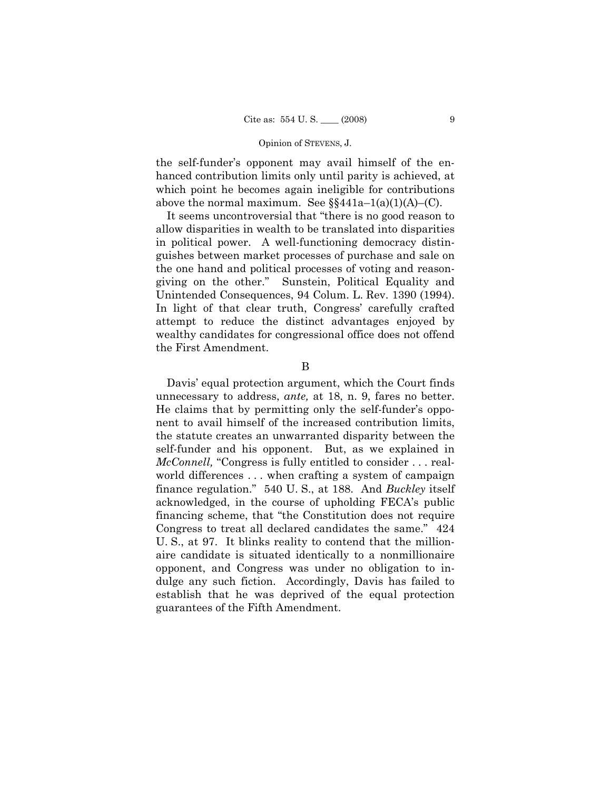the self-funder's opponent may avail himself of the enhanced contribution limits only until parity is achieved, at which point he becomes again ineligible for contributions above the normal maximum. See  $\S$ §441a–1(a)(1)(A)–(C).

 It seems uncontroversial that "there is no good reason to allow disparities in wealth to be translated into disparities in political power. A well-functioning democracy distinguishes between market processes of purchase and sale on the one hand and political processes of voting and reasongiving on the other." Sunstein, Political Equality and Unintended Consequences, 94 Colum. L. Rev. 1390 (1994). In light of that clear truth, Congress' carefully crafted attempt to reduce the distinct advantages enjoyed by wealthy candidates for congressional office does not offend the First Amendment.

B

 Davis' equal protection argument, which the Court finds unnecessary to address, *ante,* at 18, n. 9, fares no better. He claims that by permitting only the self-funder's opponent to avail himself of the increased contribution limits, the statute creates an unwarranted disparity between the self-funder and his opponent. But, as we explained in *McConnell,* "Congress is fully entitled to consider . . . realworld differences . . . when crafting a system of campaign finance regulation." 540 U. S., at 188. And *Buckley* itself acknowledged, in the course of upholding FECA's public financing scheme, that "the Constitution does not require Congress to treat all declared candidates the same." 424 U. S., at 97. It blinks reality to contend that the millionaire candidate is situated identically to a nonmillionaire opponent, and Congress was under no obligation to indulge any such fiction. Accordingly, Davis has failed to establish that he was deprived of the equal protection guarantees of the Fifth Amendment.